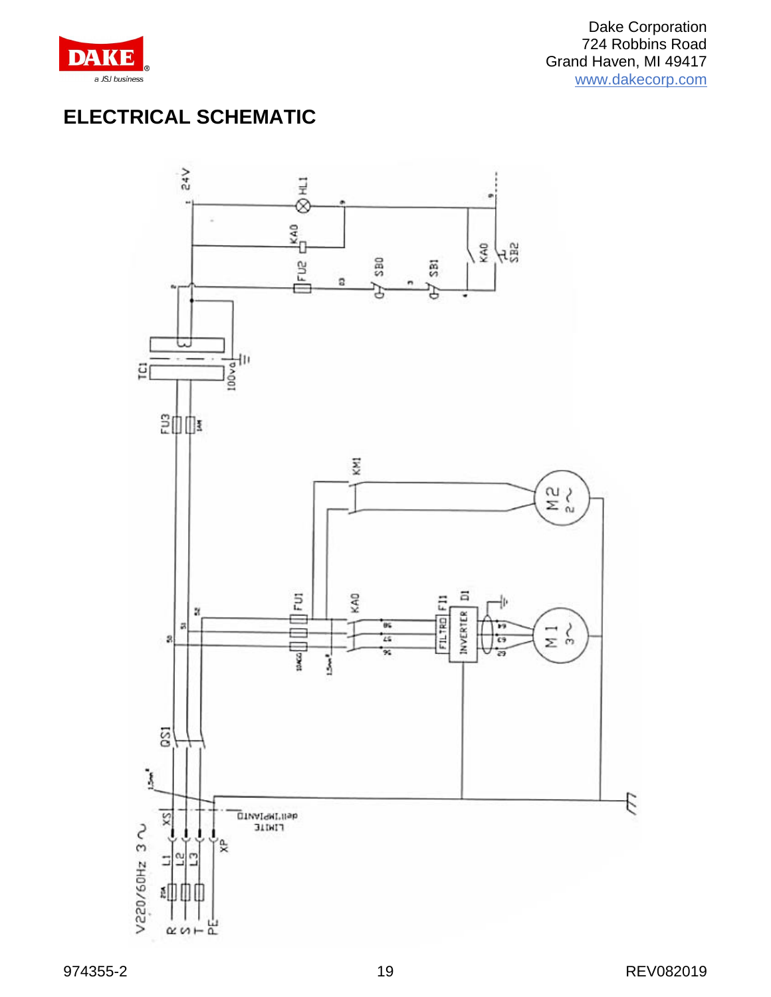

# **ELECTRICAL SCHEMATIC**

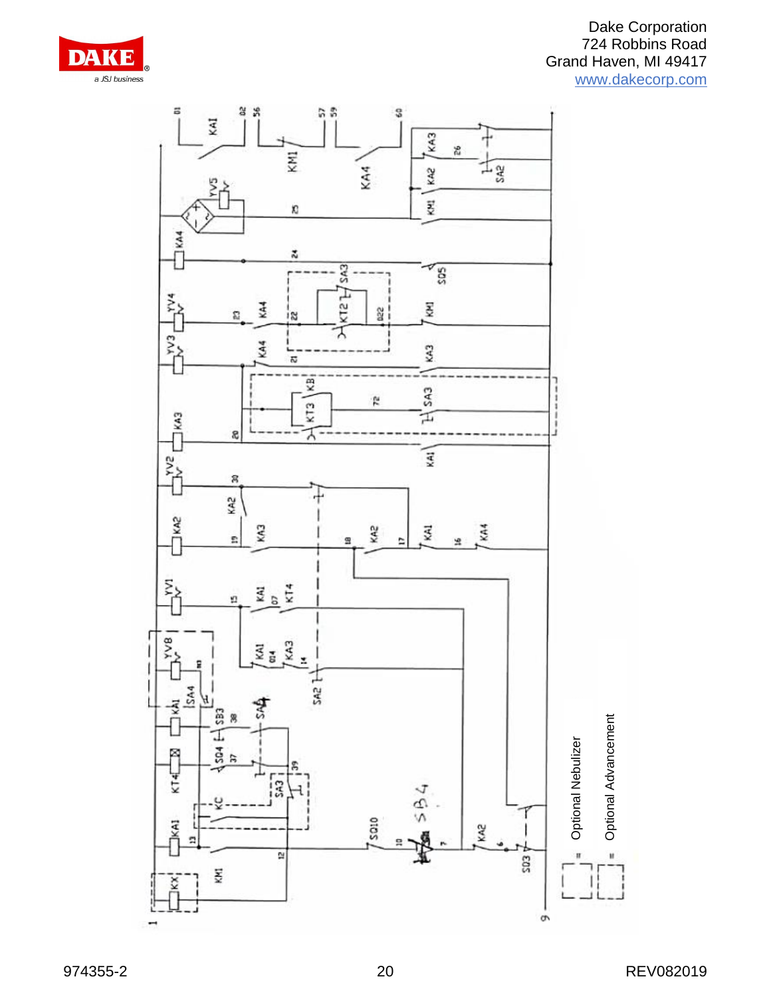

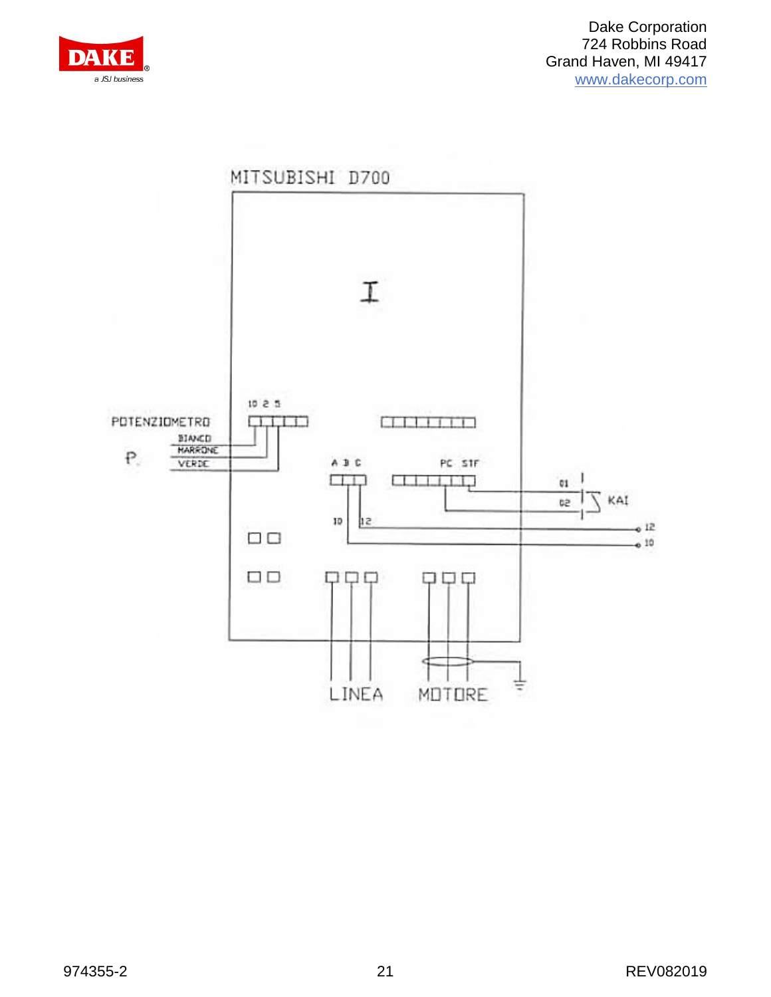

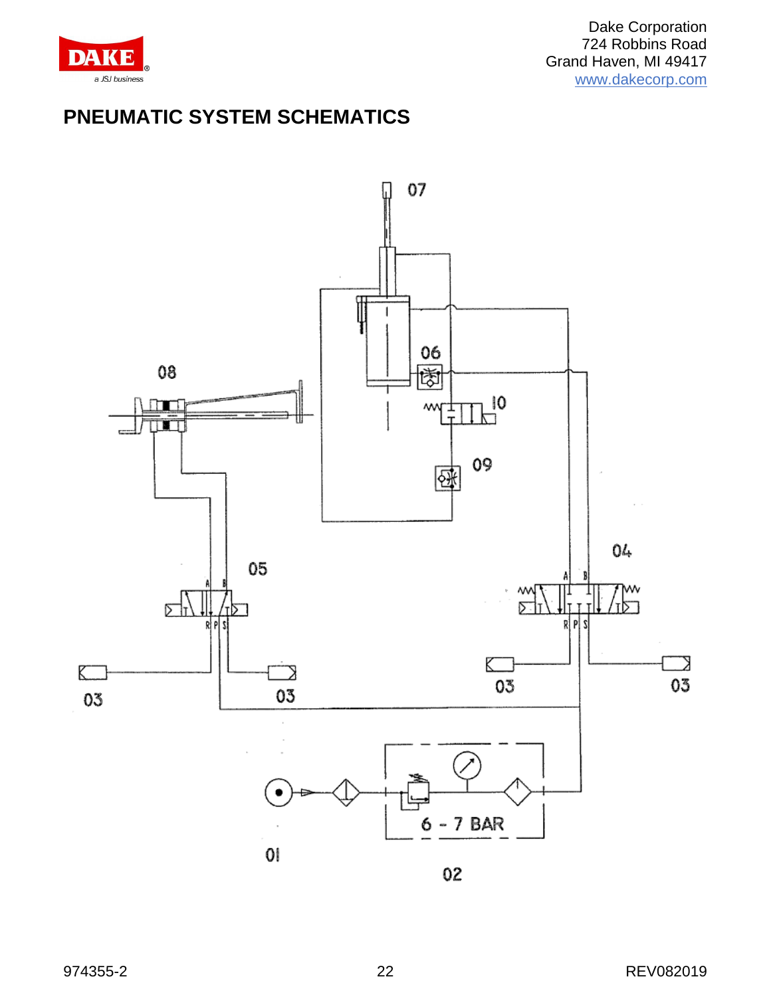

# **PNEUMATIC SYSTEM SCHEMATICS**



02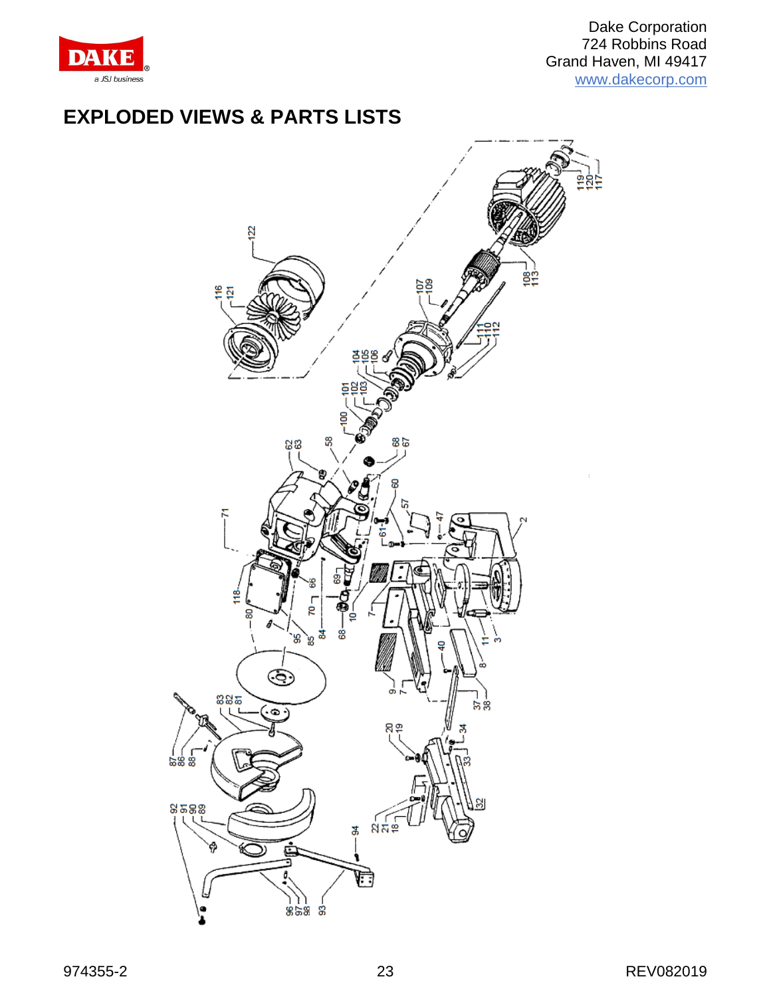

## **EXPLODED VIEWS & PARTS LISTS**

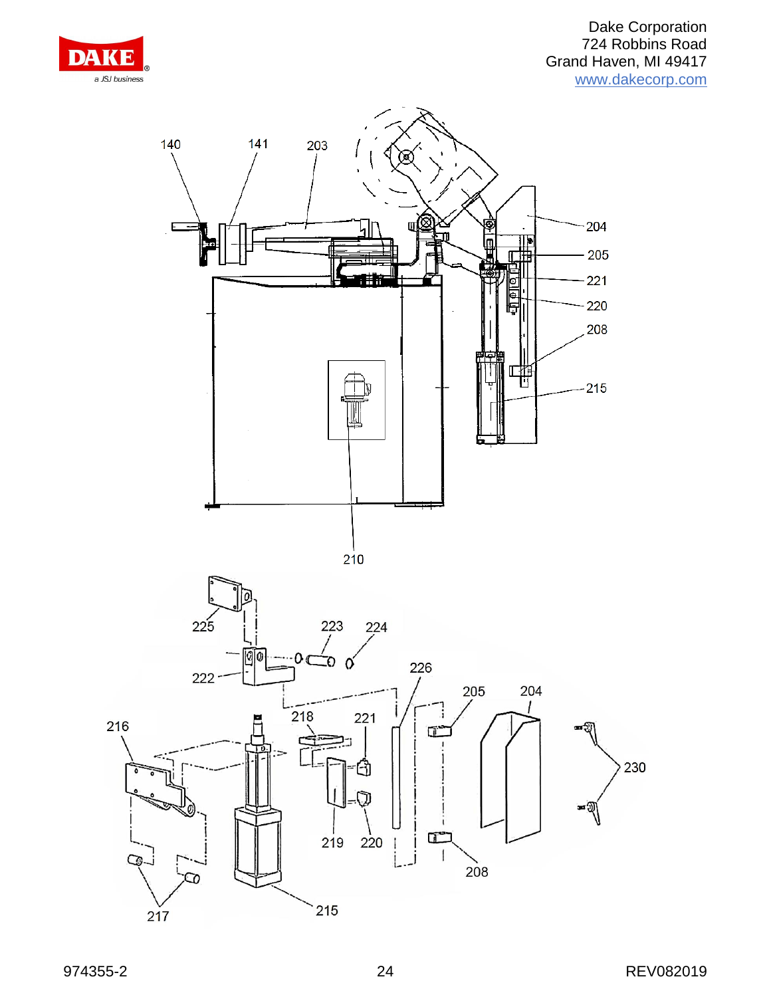

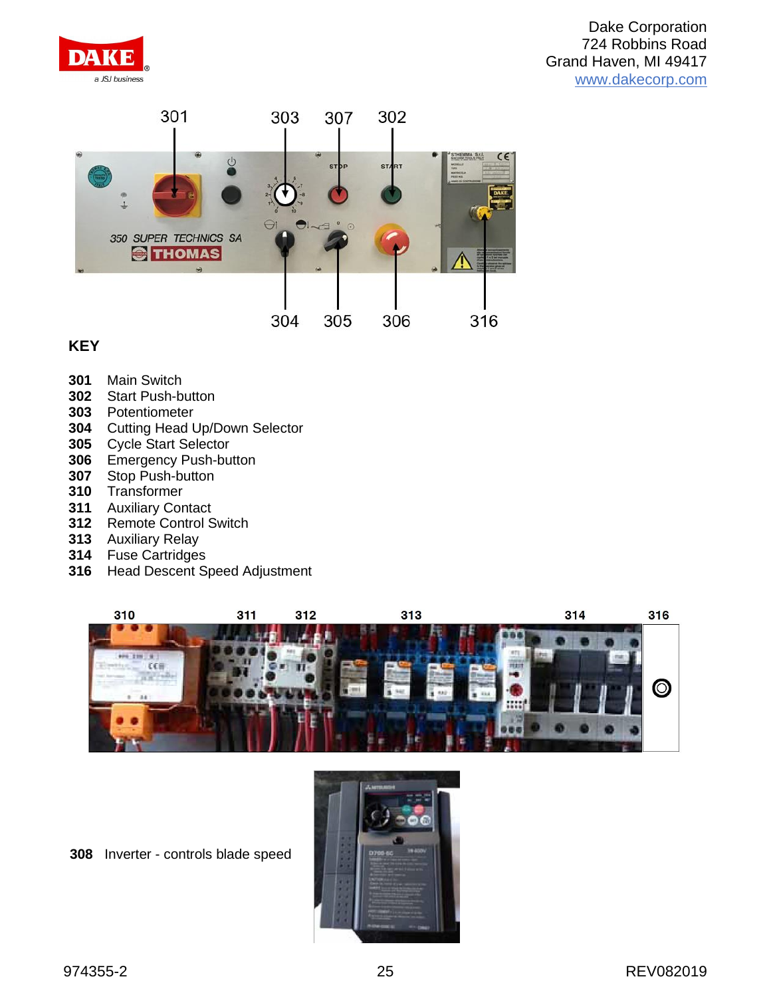



#### **KEY**

- Main Switch
- Start Push-button
- Potentiometer
- Cutting Head Up/Down Selector
- Cycle Start Selector
- Emergency Push-button
- Stop Push-button
- Transformer
- Auxiliary Contact
- Remote Control Switch
- Auxiliary Relay
- Fuse Cartridges
- Head Descent Speed Adjustment



Inverter - controls blade speed

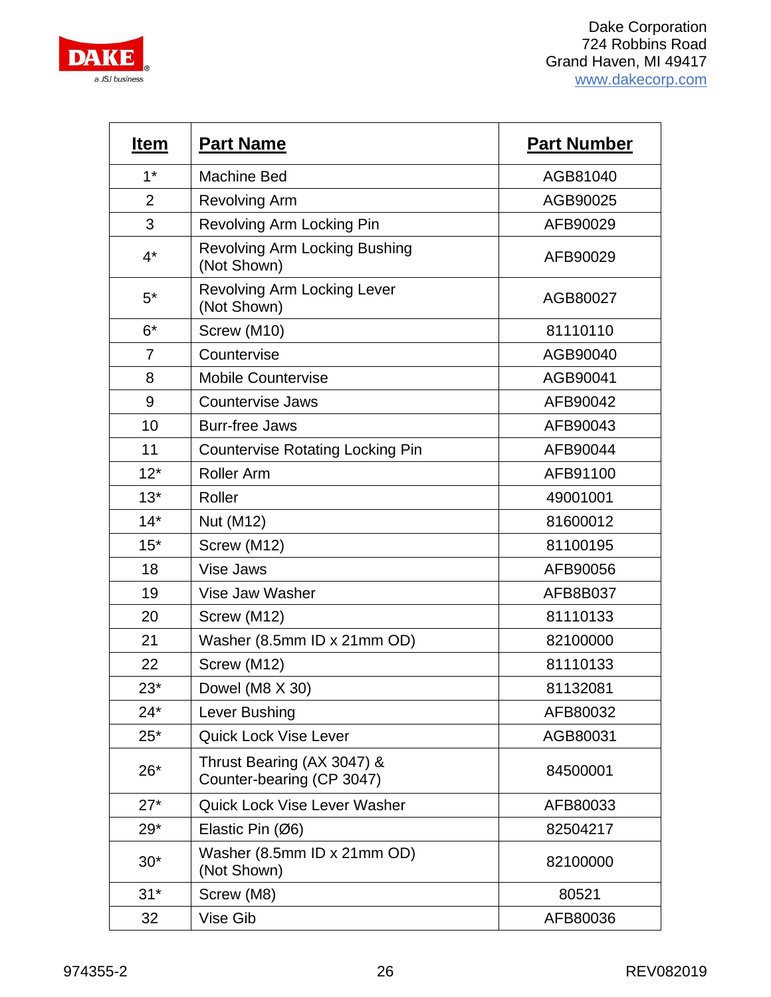

| <b>Item</b>    | <b>Part Name</b>                                        | <b>Part Number</b> |
|----------------|---------------------------------------------------------|--------------------|
| $1*$           | <b>Machine Bed</b>                                      | AGB81040           |
| $\overline{2}$ | <b>Revolving Arm</b>                                    | AGB90025           |
| 3              | Revolving Arm Locking Pin                               | AFB90029           |
| $4^*$          | <b>Revolving Arm Locking Bushing</b><br>(Not Shown)     | AFB90029           |
| $5^*$          | <b>Revolving Arm Locking Lever</b><br>(Not Shown)       | AGB80027           |
| $6*$           | Screw (M10)                                             | 81110110           |
| $\overline{7}$ | Countervise                                             | AGB90040           |
| 8              | <b>Mobile Countervise</b>                               | AGB90041           |
| 9              | <b>Countervise Jaws</b>                                 | AFB90042           |
| 10             | <b>Burr-free Jaws</b>                                   | AFB90043           |
| 11             | <b>Countervise Rotating Locking Pin</b>                 | AFB90044           |
| $12*$          | <b>Roller Arm</b>                                       | AFB91100           |
| $13*$          | Roller                                                  | 49001001           |
| $14*$          | Nut (M12)                                               | 81600012           |
| $15*$          | Screw (M12)                                             | 81100195           |
| 18             | Vise Jaws                                               | AFB90056           |
| 19             | Vise Jaw Washer                                         | AFB8B037           |
| 20             | Screw (M12)                                             | 81110133           |
| 21             | Washer (8.5mm ID x 21mm OD)                             | 82100000           |
| 22             | Screw (M12)                                             | 81110133           |
| $23*$          | Dowel (M8 X 30)                                         | 81132081           |
| $24*$          | Lever Bushing                                           | AFB80032           |
| $25*$          | <b>Quick Lock Vise Lever</b>                            | AGB80031           |
| $26*$          | Thrust Bearing (AX 3047) &<br>Counter-bearing (CP 3047) | 84500001           |
| $27*$          | Quick Lock Vise Lever Washer                            | AFB80033           |
| $29*$          | Elastic Pin $(Ø6)$                                      | 82504217           |
| $30*$          | Washer (8.5mm ID x 21mm OD)<br>(Not Shown)              | 82100000           |
| $31*$          | Screw (M8)                                              | 80521              |
| 32             | Vise Gib                                                | AFB80036           |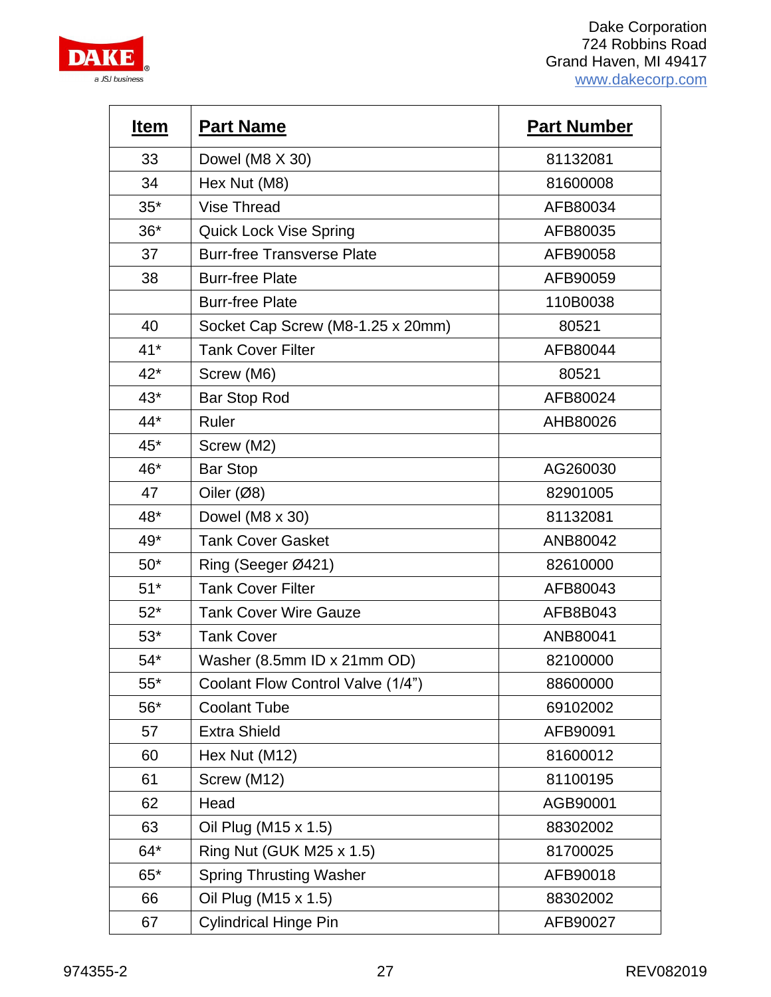

| <b>Item</b> | <b>Part Name</b>                  | <b>Part Number</b> |
|-------------|-----------------------------------|--------------------|
| 33          | Dowel (M8 X 30)                   | 81132081           |
| 34          | Hex Nut (M8)                      | 81600008           |
| $35*$       | <b>Vise Thread</b>                | AFB80034           |
| $36*$       | <b>Quick Lock Vise Spring</b>     | AFB80035           |
| 37          | <b>Burr-free Transverse Plate</b> | AFB90058           |
| 38          | <b>Burr-free Plate</b>            | AFB90059           |
|             | <b>Burr-free Plate</b>            | 110B0038           |
| 40          | Socket Cap Screw (M8-1.25 x 20mm) | 80521              |
| $41*$       | <b>Tank Cover Filter</b>          | AFB80044           |
| $42*$       | Screw (M6)                        | 80521              |
| $43*$       | Bar Stop Rod                      | AFB80024           |
| 44*         | Ruler                             | AHB80026           |
| 45*         | Screw (M2)                        |                    |
| 46*         | <b>Bar Stop</b>                   | AG260030           |
| 47          | Oiler $(Ø8)$                      | 82901005           |
| 48*         | Dowel (M8 x 30)                   | 81132081           |
| 49*         | <b>Tank Cover Gasket</b>          | ANB80042           |
| $50*$       | Ring (Seeger Ø421)                | 82610000           |
| $51*$       | <b>Tank Cover Filter</b>          | AFB80043           |
| $52*$       | <b>Tank Cover Wire Gauze</b>      | AFB8B043           |
| $53*$       | <b>Tank Cover</b>                 | ANB80041           |
| $54*$       | Washer (8.5mm ID x 21mm OD)       | 82100000           |
| $55*$       | Coolant Flow Control Valve (1/4") | 88600000           |
| $56*$       | <b>Coolant Tube</b>               | 69102002           |
| 57          | <b>Extra Shield</b>               | AFB90091           |
| 60          | Hex Nut (M12)                     | 81600012           |
| 61          | Screw (M12)                       | 81100195           |
| 62          | Head                              | AGB90001           |
| 63          | Oil Plug (M15 x 1.5)              | 88302002           |
| $64*$       | Ring Nut (GUK M25 x 1.5)          | 81700025           |
| $65*$       | <b>Spring Thrusting Washer</b>    | AFB90018           |
| 66          | Oil Plug (M15 x 1.5)              | 88302002           |
| 67          | <b>Cylindrical Hinge Pin</b>      | AFB90027           |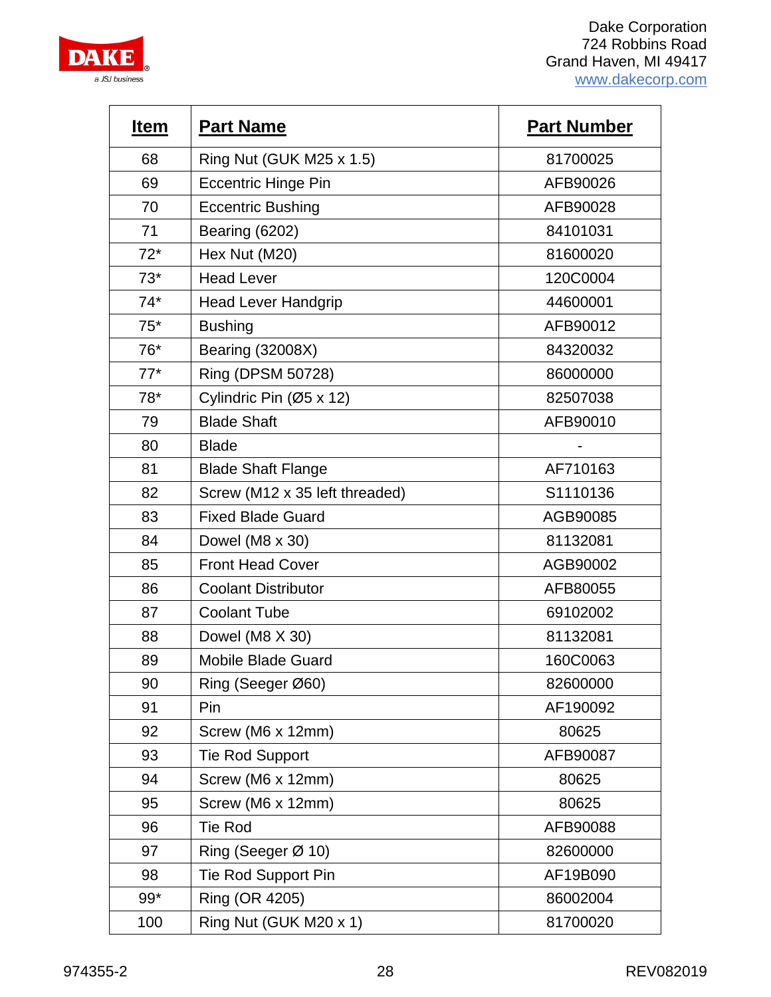

| <b>Item</b> | <b>Part Name</b>               | <b>Part Number</b> |
|-------------|--------------------------------|--------------------|
| 68          | Ring Nut (GUK M25 x 1.5)       | 81700025           |
| 69          | <b>Eccentric Hinge Pin</b>     | AFB90026           |
| 70          | <b>Eccentric Bushing</b>       | AFB90028           |
| 71          | Bearing (6202)                 | 84101031           |
| $72*$       | Hex Nut (M20)                  | 81600020           |
| $73*$       | <b>Head Lever</b>              | 120C0004           |
| $74*$       | <b>Head Lever Handgrip</b>     | 44600001           |
| $75*$       | <b>Bushing</b>                 | AFB90012           |
| 76*         | <b>Bearing (32008X)</b>        | 84320032           |
| $77*$       | Ring (DPSM 50728)              | 86000000           |
| $78*$       | Cylindric Pin (Ø5 x 12)        | 82507038           |
| 79          | <b>Blade Shaft</b>             | AFB90010           |
| 80          | <b>Blade</b>                   |                    |
| 81          | <b>Blade Shaft Flange</b>      | AF710163           |
| 82          | Screw (M12 x 35 left threaded) | S1110136           |
| 83          | <b>Fixed Blade Guard</b>       | AGB90085           |
| 84          | Dowel (M8 x 30)                | 81132081           |
| 85          | <b>Front Head Cover</b>        | AGB90002           |
| 86          | <b>Coolant Distributor</b>     | AFB80055           |
| 87          | <b>Coolant Tube</b>            | 69102002           |
| 88          | Dowel (M8 X 30)                | 81132081           |
| 89          | <b>Mobile Blade Guard</b>      | 160C0063           |
| 90          | Ring (Seeger Ø60)              | 82600000           |
| 91          | Pin                            | AF190092           |
| 92          | Screw (M6 x 12mm)              | 80625              |
| 93          | <b>Tie Rod Support</b>         | AFB90087           |
| 94          | Screw (M6 x 12mm)              | 80625              |
| 95          | Screw (M6 x 12mm)              | 80625              |
| 96          | <b>Tie Rod</b>                 | AFB90088           |
| 97          | Ring (Seeger Ø 10)             | 82600000           |
| 98          | Tie Rod Support Pin            | AF19B090           |
| $99*$       | Ring (OR 4205)                 | 86002004           |
| 100         | Ring Nut (GUK M20 x 1)         | 81700020           |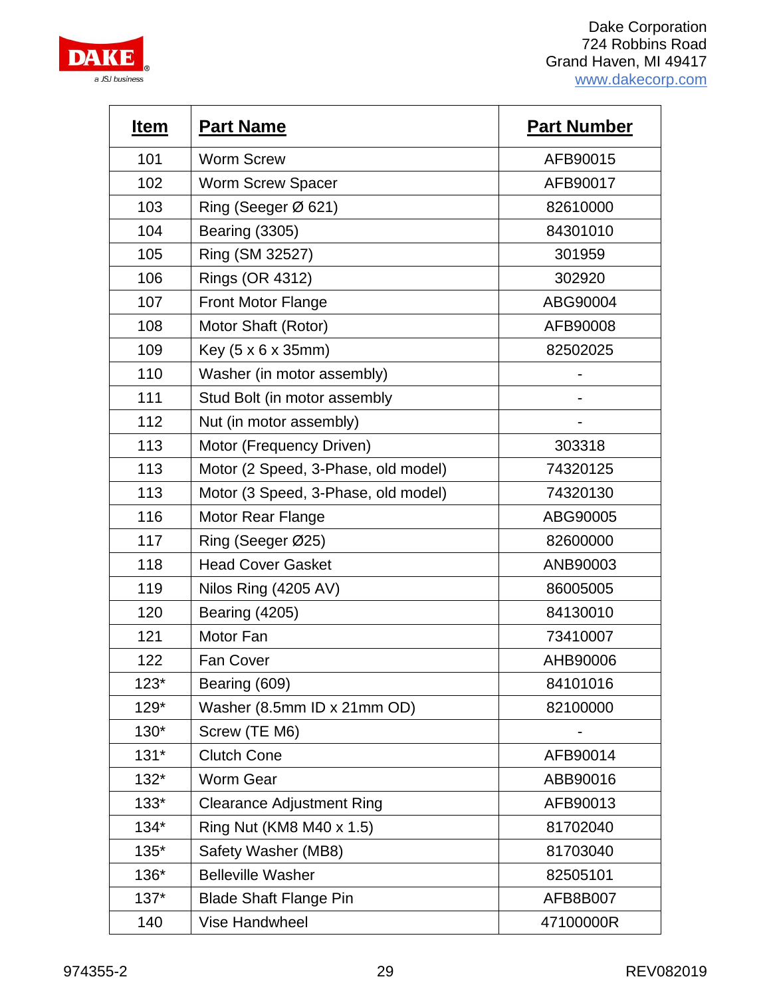

| <u>Item</u> | <b>Part Name</b>                    | <b>Part Number</b> |
|-------------|-------------------------------------|--------------------|
| 101         | <b>Worm Screw</b>                   | AFB90015           |
| 102         | <b>Worm Screw Spacer</b>            | AFB90017           |
| 103         | Ring (Seeger Ø 621)                 | 82610000           |
| 104         | <b>Bearing (3305)</b>               | 84301010           |
| 105         | Ring (SM 32527)                     | 301959             |
| 106         | Rings (OR 4312)                     | 302920             |
| 107         | Front Motor Flange                  | ABG90004           |
| 108         | Motor Shaft (Rotor)                 | AFB90008           |
| 109         | Key (5 x 6 x 35mm)                  | 82502025           |
| 110         | Washer (in motor assembly)          |                    |
| 111         | Stud Bolt (in motor assembly        |                    |
| 112         | Nut (in motor assembly)             |                    |
| 113         | Motor (Frequency Driven)            | 303318             |
| 113         | Motor (2 Speed, 3-Phase, old model) | 74320125           |
| 113         | Motor (3 Speed, 3-Phase, old model) | 74320130           |
| 116         | <b>Motor Rear Flange</b>            | ABG90005           |
| 117         | Ring (Seeger Ø25)                   | 82600000           |
| 118         | <b>Head Cover Gasket</b>            | ANB90003           |
| 119         | Nilos Ring (4205 AV)                | 86005005           |
| 120         | Bearing (4205)                      | 84130010           |
| 121         | Motor Fan                           | 73410007           |
| 122         | <b>Fan Cover</b>                    | AHB90006           |
| $123*$      | Bearing (609)                       | 84101016           |
| $129*$      | Washer (8.5mm ID x 21mm OD)         | 82100000           |
| $130*$      | Screw (TE M6)                       |                    |
| $131*$      | <b>Clutch Cone</b>                  | AFB90014           |
| $132*$      | <b>Worm Gear</b>                    | ABB90016           |
| $133*$      | <b>Clearance Adjustment Ring</b>    | AFB90013           |
| $134*$      | Ring Nut (KM8 M40 x 1.5)            | 81702040           |
| $135*$      | Safety Washer (MB8)                 | 81703040           |
| 136*        | <b>Belleville Washer</b>            | 82505101           |
| $137*$      | <b>Blade Shaft Flange Pin</b>       | AFB8B007           |
| 140         | Vise Handwheel                      | 47100000R          |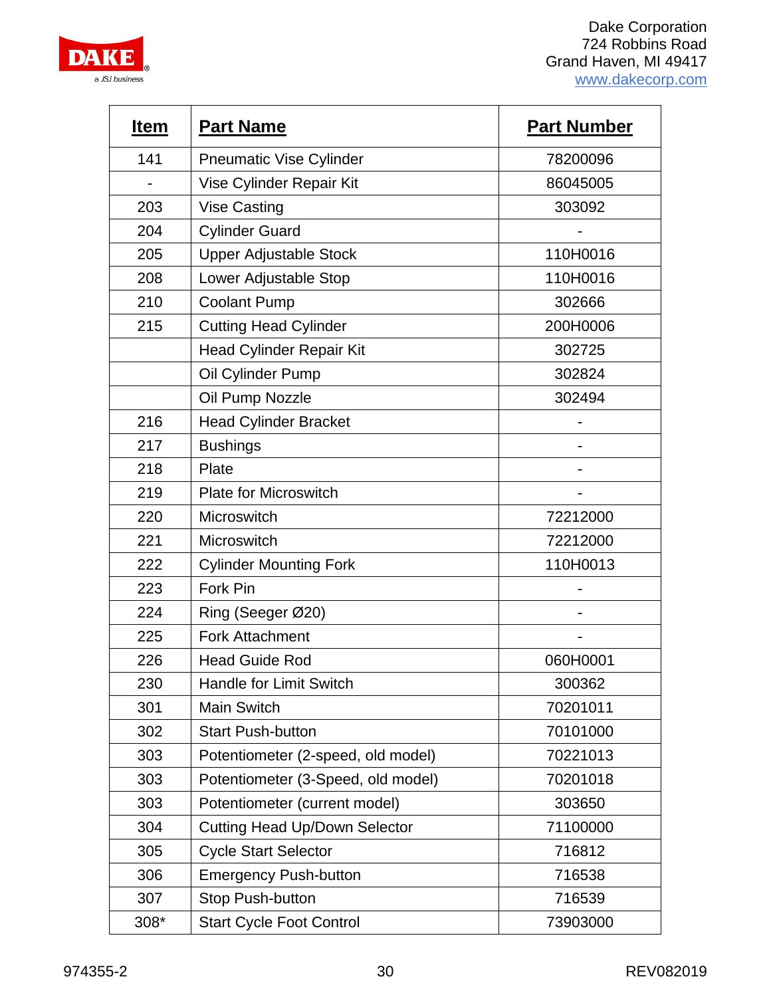

| <b>Item</b> | <b>Part Name</b>                     | <b>Part Number</b> |
|-------------|--------------------------------------|--------------------|
| 141         | <b>Pneumatic Vise Cylinder</b>       | 78200096           |
|             | Vise Cylinder Repair Kit             | 86045005           |
| 203         | <b>Vise Casting</b>                  | 303092             |
| 204         | <b>Cylinder Guard</b>                |                    |
| 205         | <b>Upper Adjustable Stock</b>        | 110H0016           |
| 208         | Lower Adjustable Stop                | 110H0016           |
| 210         | <b>Coolant Pump</b>                  | 302666             |
| 215         | <b>Cutting Head Cylinder</b>         | 200H0006           |
|             | <b>Head Cylinder Repair Kit</b>      | 302725             |
|             | Oil Cylinder Pump                    | 302824             |
|             | Oil Pump Nozzle                      | 302494             |
| 216         | <b>Head Cylinder Bracket</b>         |                    |
| 217         | <b>Bushings</b>                      |                    |
| 218         | Plate                                |                    |
| 219         | <b>Plate for Microswitch</b>         |                    |
| 220         | Microswitch                          | 72212000           |
| 221         | Microswitch                          | 72212000           |
| 222         | <b>Cylinder Mounting Fork</b>        | 110H0013           |
| 223         | Fork Pin                             |                    |
| 224         | Ring (Seeger Ø20)                    |                    |
| 225         | <b>Fork Attachment</b>               |                    |
| 226         | <b>Head Guide Rod</b>                | 060H0001           |
| 230         | Handle for Limit Switch              | 300362             |
| 301         | Main Switch                          | 70201011           |
| 302         | <b>Start Push-button</b>             | 70101000           |
| 303         | Potentiometer (2-speed, old model)   | 70221013           |
| 303         | Potentiometer (3-Speed, old model)   | 70201018           |
| 303         | Potentiometer (current model)        | 303650             |
| 304         | <b>Cutting Head Up/Down Selector</b> | 71100000           |
| 305         | <b>Cycle Start Selector</b>          | 716812             |
| 306         | <b>Emergency Push-button</b>         | 716538             |
| 307         | <b>Stop Push-button</b>              | 716539             |
| 308*        | <b>Start Cycle Foot Control</b>      | 73903000           |